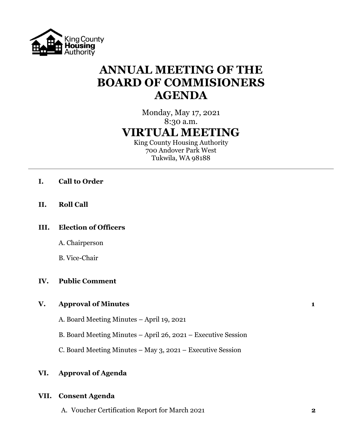

# **ANNUAL MEETING OF THE BOARD OF COMMISIONERS AGENDA**

# Monday, May 17, 2021 8:30 a.m. **VIRTUAL MEETING**

King County Housing Authority 700 Andover Park West Tukwila, WA 98188

- **I. Call to Order**
- **II. Roll Call**

# **III. Election of Officers**

A. Chairperson

B. Vice-Chair

# **IV. Public Comment**

## **V. Approval of Minutes 1**

A. Board Meeting Minutes – April 19, 2021

B. Board Meeting Minutes – April 26, 2021 – Executive Session

C. Board Meeting Minutes – May 3, 2021 – Executive Session

# **VI. Approval of Agenda**

## **VII. Consent Agenda**

A. Voucher Certification Report for March 2021 **2**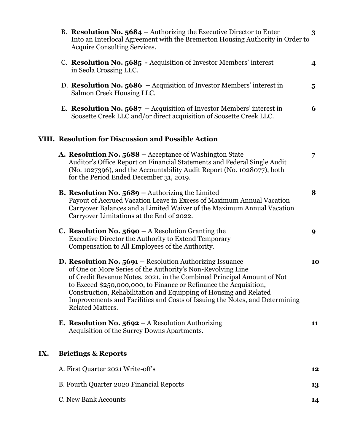|     | B. Resolution No. $5684$ – Authorizing the Executive Director to Enter<br>Into an Interlocal Agreement with the Bremerton Housing Authority in Order to<br>Acquire Consulting Services.                                                                                                                                                                                                                                                               | 3                       |
|-----|-------------------------------------------------------------------------------------------------------------------------------------------------------------------------------------------------------------------------------------------------------------------------------------------------------------------------------------------------------------------------------------------------------------------------------------------------------|-------------------------|
|     | C. Resolution No. 5685 - Acquisition of Investor Members' interest<br>in Seola Crossing LLC.                                                                                                                                                                                                                                                                                                                                                          | 4                       |
|     | D. Resolution No. $5686$ - Acquisition of Investor Members' interest in<br>Salmon Creek Housing LLC.                                                                                                                                                                                                                                                                                                                                                  | $\overline{\mathbf{5}}$ |
|     | E. Resolution No. $5687$ – Acquisition of Investor Members' interest in<br>Soosette Creek LLC and/or direct acquisition of Soosette Creek LLC.                                                                                                                                                                                                                                                                                                        | 6                       |
|     | VIII. Resolution for Discussion and Possible Action                                                                                                                                                                                                                                                                                                                                                                                                   |                         |
|     | A. Resolution No. 5688 - Acceptance of Washington State<br>Auditor's Office Report on Financial Statements and Federal Single Audit<br>(No. 1027396), and the Accountability Audit Report (No. 1028077), both<br>for the Period Ended December 31, 2019.                                                                                                                                                                                              | 7                       |
|     | <b>B. Resolution No. <math>5689</math></b> – Authorizing the Limited<br>Payout of Accrued Vacation Leave in Excess of Maximum Annual Vacation<br>Carryover Balances and a Limited Waiver of the Maximum Annual Vacation<br>Carryover Limitations at the End of 2022.                                                                                                                                                                                  | 8                       |
|     | <b>C. Resolution No. 5690</b> – A Resolution Granting the<br><b>Executive Director the Authority to Extend Temporary</b><br>Compensation to All Employees of the Authority.                                                                                                                                                                                                                                                                           | 9                       |
|     | D. Resolution No. 5691 - Resolution Authorizing Issuance<br>of One or More Series of the Authority's Non-Revolving Line<br>of Credit Revenue Notes, 2021, in the Combined Principal Amount of Not<br>to Exceed \$250,000,000, to Finance or Refinance the Acquisition,<br>Construction, Rehabilitation and Equipping of Housing and Related<br>Improvements and Facilities and Costs of Issuing the Notes, and Determining<br><b>Related Matters.</b> | 10                      |
|     | <b>E. Resolution No. 5692</b> – A Resolution Authorizing<br>Acquisition of the Surrey Downs Apartments.                                                                                                                                                                                                                                                                                                                                               | 11                      |
| IX. | <b>Briefings &amp; Reports</b>                                                                                                                                                                                                                                                                                                                                                                                                                        |                         |
|     | A. First Quarter 2021 Write-off's                                                                                                                                                                                                                                                                                                                                                                                                                     | 12                      |
|     | B. Fourth Quarter 2020 Financial Reports                                                                                                                                                                                                                                                                                                                                                                                                              | 13                      |
|     | C. New Bank Accounts                                                                                                                                                                                                                                                                                                                                                                                                                                  | 14                      |